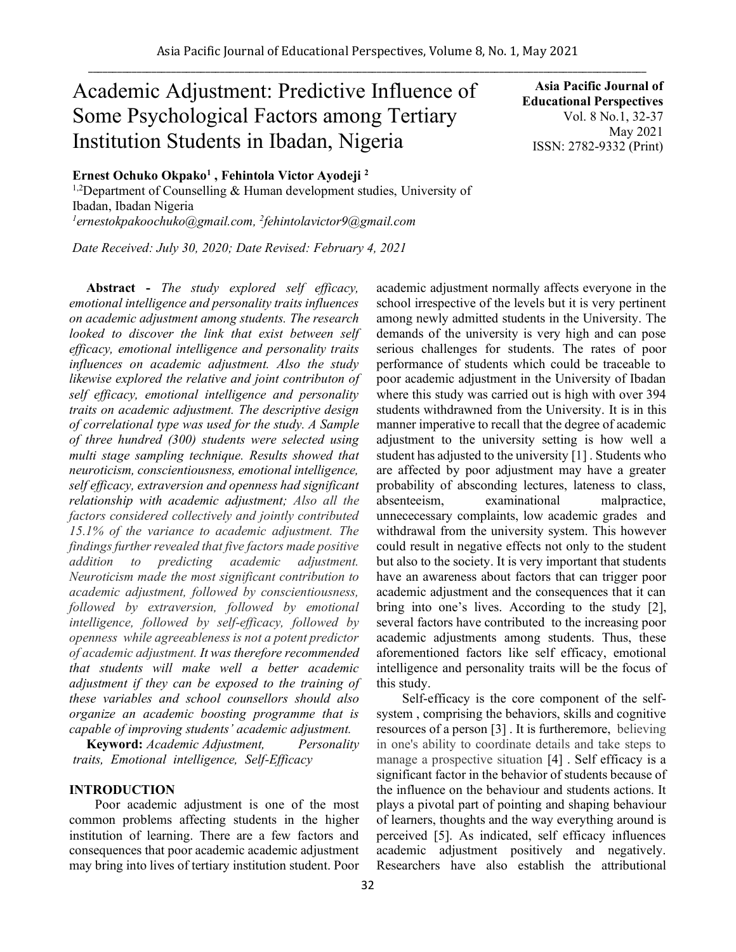# Academic Adjustment: Predictive Influence of Some Psychological Factors among Tertiary Institution Students in Ibadan, Nigeria

**Asia Pacific Journal of Educational Perspectives**  Vol. 8 No.1, 32-37 May 2021 ISSN: 2782-9332 (Print)

**Ernest Ochuko Okpako<sup>1</sup> , Fehintola Victor Ayodeji <sup>2</sup>**

<sup>1,2</sup>Department of Counselling & Human development studies, University of Ibadan, Ibadan Nigeria *<sup>1</sup>ernestokpakoochuko@gmail.com, 2 fehintolavictor9@gmail.com*

*Date Received: July 30, 2020; Date Revised: February 4, 2021*

**Abstract -** *The study explored self efficacy, emotional intelligence and personality traits influences on academic adjustment among students. The research looked to discover the link that exist between self efficacy, emotional intelligence and personality traits influences on academic adjustment. Also the study likewise explored the relative and joint contributon of self efficacy, emotional intelligence and personality traits on academic adjustment. The descriptive design of correlational type was used for the study. A Sample of three hundred (300) students were selected using multi stage sampling technique. Results showed that neuroticism, conscientiousness, emotional intelligence, self efficacy, extraversion and openness had significant relationship with academic adjustment; Also all the factors considered collectively and jointly contributed 15.1% of the variance to academic adjustment. The findings further revealed that five factors made positive addition to predicting academic adjustment. Neuroticism made the most significant contribution to academic adjustment, followed by conscientiousness, followed by extraversion, followed by emotional intelligence, followed by self-efficacy, followed by openness while agreeableness is not a potent predictor of academic adjustment. It was therefore recommended that students will make well a better academic adjustment if they can be exposed to the training of these variables and school counsellors should also organize an academic boosting programme that is capable of improving students' academic adjustment.*

**Keyword:** *Academic Adjustment, Personality itraits, iEmotional iintelligence, iSelf-Efficacy*

#### **INTRODUCTION**

Poor academic adjustment is one of the most common problems affecting students in the higher institution of learning. There are a few factors and consequences that poor academic academic adjustment may bring into lives of tertiary institution student. Poor academic adjustment normally affects everyone in the school irrespective of the levels but it is very pertinent among newly admitted students in the University. The demands of the university is very high and can pose serious challenges for students. The rates of poor performance of students which could be traceable to poor academic adjustment in the University of Ibadan where this study was carried out is high with over 394 students withdrawned from the University. It is in this manner imperative to recall that the degree of academic adjustment to the university setting is how well a student has adjusted to the university [1] . Students who are affected by poor adjustment may have a greater probability of absconding lectures, lateness to class, absenteeism, examinational malpractice, unnececessary complaints, low academic grades and withdrawal from the university system. This however could result in negative effects not only to the student but also to the society. It is very important that students have an awareness about factors that can trigger poor academic adjustment and the consequences that it can bring into one's lives. According to the study [2], several factors have contributed to the increasing poor academic adjustments among students. Thus, these aforementioned factors like self efficacy, emotional intelligence and personality traits will be the focus of this study.

Self-efficacy is the core component of the selfsystem , comprising the behaviors, skills and cognitive resources of a person [3] . It is furtheremore, believing in one's ability to coordinate details and take steps to manage a prospective situation [4] . Self efficacy is a significant factor in the behavior of students because of the influence on the behaviour and students actions. It plays a pivotal part of pointing and shaping behaviour of learners, thoughts and the way everything around is perceived [5]. As indicated, self efficacy influences academic adjustment positively and negatively. Researchers have also establish the attributional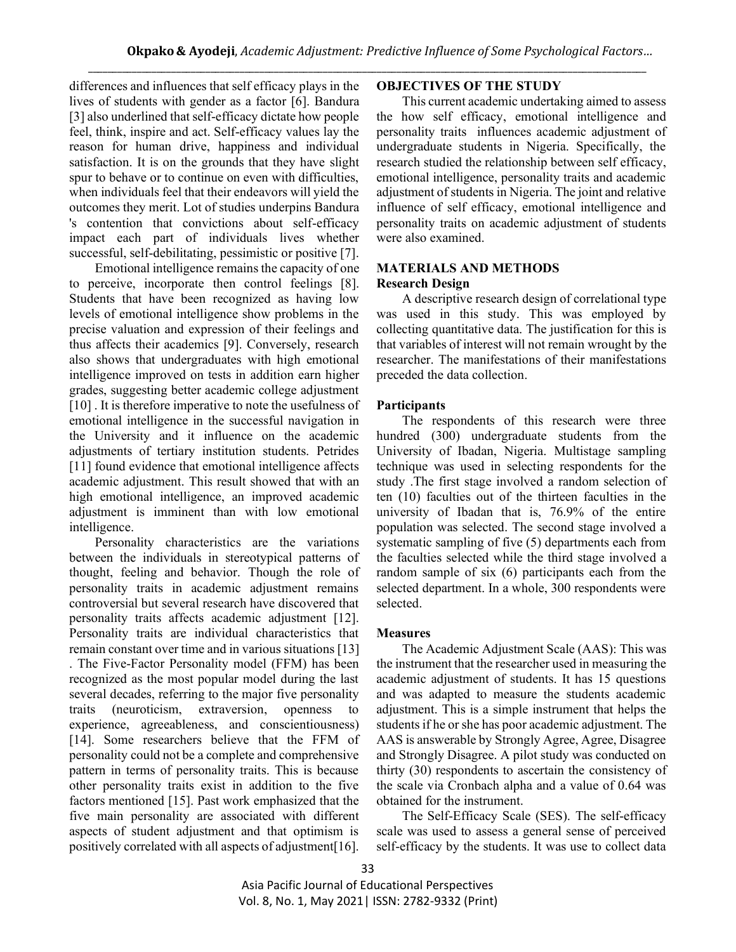differences and influences that self efficacy plays in the lives of students with gender as a factor [6]. Bandura [3] also underlined that self-efficacy dictate how people feel, think, inspire and act. Self-efficacy values lay the reason for human drive, happiness and individual satisfaction. It is on the grounds that they have slight spur to behave or to continue on even with difficulties, when individuals feel that their endeavors will yield the outcomes they merit. Lot of studies underpins Bandura 's contention that convictions about self-efficacy impact each part of individuals lives whether successful, self-debilitating, pessimistic or positive [7].

Emotional intelligence remains the capacity of one to perceive, incorporate then control feelings [8]. Students that have been recognized as having low levels of emotional intelligence show problems in the precise valuation and expression of their feelings and thus affects their academics [9]. Conversely, research also shows that undergraduates with high emotional intelligence improved on tests in addition earn higher grades, suggesting better academic college adjustment [10]. It is therefore imperative to note the usefulness of emotional intelligence in the successful navigation in the University and it influence on the academic adjustments of tertiary institution students. Petrides [11] found evidence that emotional intelligence affects academic adjustment. This result showed that with an high emotional intelligence, an improved academic adjustment is imminent than with low emotional intelligence.

Personality characteristics are the variations between the individuals in stereotypical patterns of thought, feeling and behavior. Though the role of personality traits in academic adjustment remains controversial but several research have discovered that personality traits affects academic adjustment [12]. Personality traits are individual characteristics that remain constant over time and in various situations [13] . The Five-Factor Personality model (FFM) has been recognized as the most popular model during the last several decades, referring to the major five personality traits (neuroticism, extraversion, openness to experience, agreeableness, and conscientiousness) [14]. Some researchers believe that the FFM of personality could not be a complete and comprehensive pattern in terms of personality traits. This is because other personality traits exist in addition to the five factors mentioned [15]. Past work emphasized that the five main personality are associated with different aspects of student adjustment and that optimism is positively correlated with all aspects of adjustment[16].

# **OBJECTIVES OF THE STUDY**

This current academic undertaking aimed to assess the how self efficacy, emotional intelligence and personality traits influences academic adjustment of undergraduate students in Nigeria. Specifically, the research studied the relationship between self efficacy, emotional intelligence, personality traits and academic adjustment of students in Nigeria. The joint and relative influence of self efficacy, emotional intelligence and personality traits on academic adjustment of students were also examined.

#### **MATERIALS AND METHODS Research Design**

A descriptive research design of correlational type was used in this study. This was employed by collecting quantitative data. The justification for this is that variables of interest will not remain wrought by the researcher. The manifestations of their manifestations preceded the data collection.

## **Participants**

The respondents of this research were three hundred (300) undergraduate students from the University of Ibadan, Nigeria. Multistage sampling technique was used in selecting respondents for the study .The first stage involved a random selection of ten (10) faculties out of the thirteen faculties in the university of Ibadan that is, 76.9% of the entire population was selected. The second stage involved a systematic sampling of five (5) departments each from the faculties selected while the third stage involved a random sample of six (6) participants each from the selected department. In a whole, 300 respondents were selected.

## **Measures**

The Academic Adjustment Scale (AAS): This was the instrument that the researcher used in measuring the academic adjustment of students. It has 15 questions and was adapted to measure the students academic adjustment. This is a simple instrument that helps the students if he or she has poor academic adjustment. The AAS is answerable by Strongly Agree, Agree, Disagree and Strongly Disagree. A pilot study was conducted on thirty (30) respondents to ascertain the consistency of the scale via Cronbach alpha and a value of 0.64 was obtained for the instrument.

The Self-Efficacy Scale (SES). The self-efficacy scale was used to assess a general sense of perceived self-efficacy by the students. It was use to collect data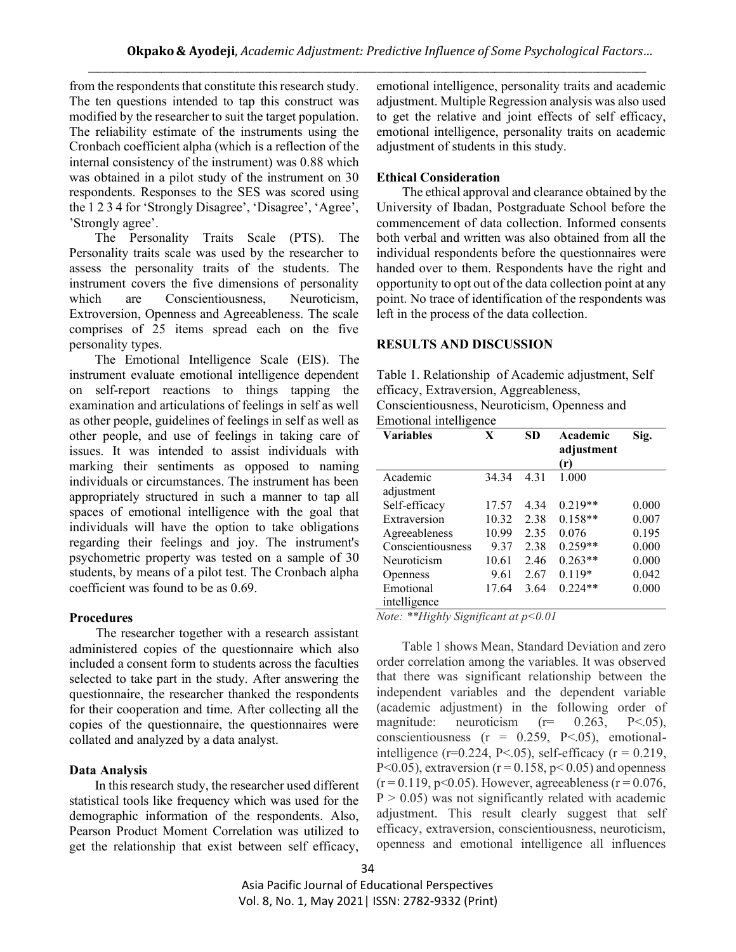from the respondents that constitute this research study. The ten questions intended to tap this construct was modified by the researcher to suit the target population. The reliability estimate of the instruments using the Cronbach coefficient alpha (which is a reflection of the internal consistency of the instrument) was 0.88 which was obtained in a pilot study of the instrument on 30 respondents. Responses to the SES was scored using the 1 2 3 4 for 'Strongly Disagree', 'Disagree', 'Agree', 'Strongly agree'.

The Personality Traits Scale (PTS). The Personality traits scale was used by the researcher to assess the personality traits of the students. The instrument covers the five dimensions of personality which are Conscientiousness, Neuroticism, Extroversion, Openness and Agreeableness. The scale comprises of 25 items spread each on the five personality types.

The Emotional Intelligence Scale (EIS). The instrument evaluate emotional intelligence dependent on self-report reactions to things tapping the examination and articulations of feelings in self as well as other people, guidelines of feelings in self as well as other people, and use of feelings in taking care of issues. It was intended to assist individuals with marking their sentiments as opposed to naming individuals or circumstances. The instrument has been appropriately structured in such a manner to tap all spaces of emotional intelligence with the goal that individuals will have the option to take obligations regarding their feelings and joy. The instrument's psychometric property was tested on a sample of 30 students, by means of a pilot test. The Cronbach alpha coefficient was found to be as 0.69.

## **Procedures**

 The researcher together with a research assistant administered copies of the questionnaire which also included a consent form to students across the faculties selected to take part in the study. After answering the questionnaire, the researcher thanked the respondents for their cooperation and time. After collecting all the copies of the questionnaire, the questionnaires were collated and analyzed by a data analyst.

## **Data Analysis**

In this research study, the researcher used different statistical tools like frequency which was used for the demographic information of the respondents. Also, Pearson Product Moment Correlation was utilized to get the relationship that exist between self efficacy, emotional intelligence, personality traits and academic adjustment. Multiple Regression analysis was also used to get the relative and joint effects of self efficacy, emotional intelligence, personality traits on academic adjustment of students in this study.

# **Ethical Consideration**

The ethical approval and clearance obtained by the University of Ibadan, Postgraduate School before the commencement of data collection. Informed consents both verbal and written was also obtained from all the individual respondents before the questionnaires were handed over to them. Respondents have the right and opportunity to opt out of the data collection point at any point. No trace of identification of the respondents was left in the process of the data collection.

## **RESULTS AND DISCUSSION**

Table 1. Relationship of Academic adjustment, Self efficacy, Extraversion, Aggreableness, Conscientiousness, Neuroticism, Openness and Emotional intelligence

| <b>Variables</b>  | X     | SD    | Academic<br>adjustment<br>(r) | Sig.  |
|-------------------|-------|-------|-------------------------------|-------|
| Academic          | 34.34 | 4 3 1 | 1.000                         |       |
| adjustment        |       |       |                               |       |
| Self-efficacy     | 17.57 | 4.34  | $0.219**$                     | 0.000 |
| Extraversion      | 10.32 | 2.38  | $0.158**$                     | 0.007 |
| Agreeableness     | 10.99 | 2.35  | 0.076                         | 0.195 |
| Conscientiousness | 9.37  | 2.38  | $0.259**$                     | 0.000 |
| Neuroticism       | 10.61 | 2.46  | $0.263**$                     | 0.000 |
| <b>Openness</b>   | 9.61  | 2.67  | $0.119*$                      | 0.042 |
| Emotional         | 17.64 | 3.64  | $0.224**$                     | 0.000 |
| intelligence      |       |       |                               |       |

*Note: \*\*Highly Significant at p<0.01*

Table 1 shows Mean, Standard Deviation and zero order correlation among the variables. It was observed that there was significant relationship between the independent variables and the dependent variable (academic adjustment) in the following order of magnitude: neuroticism  $(r= 0.263, P<.05)$ , conscientiousness (r = 0.259, P<.05), emotionalintelligence ( $r=0.224$ ,  $P<.05$ ), self-efficacy ( $r=0.219$ , P<0.05), extraversion ( $r = 0.158$ ,  $p < 0.05$ ) and openness  $(r = 0.119, p < 0.05)$ . However, agreeableness  $(r = 0.076,$  $P > 0.05$ ) was not significantly related with academic adjustment. This result clearly suggest that self efficacy, extraversion, conscientiousness, neuroticism, openness and emotional intelligence all influences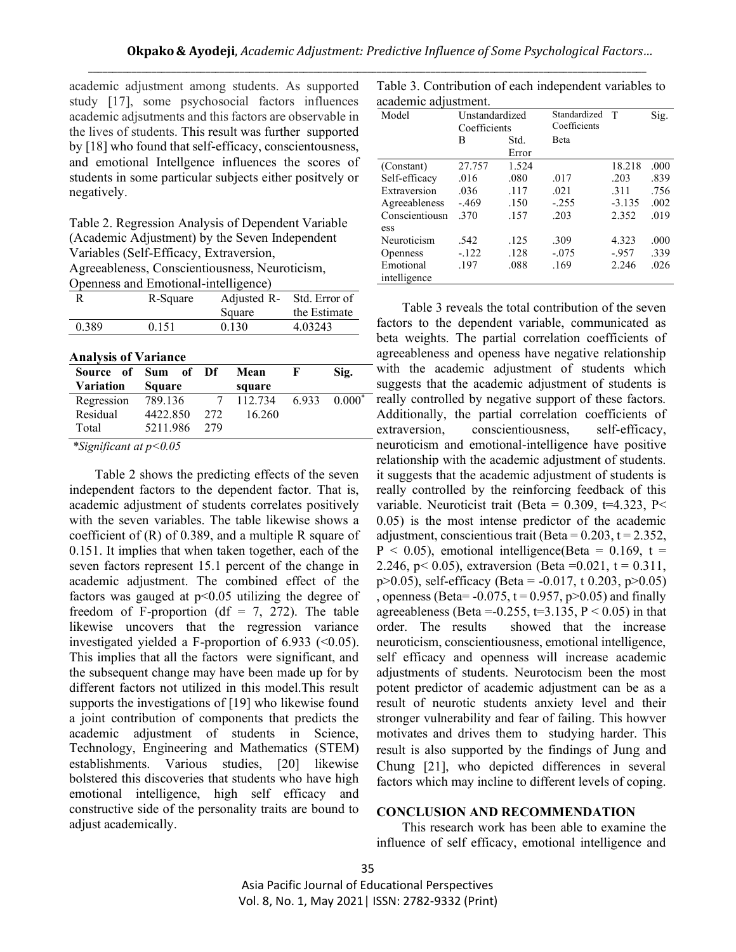academic adjustment among students. As supported study [17], some psychosocial factors influences academic adjsutments and this factors are observable in the lives of students. This result was further supported by [18] who found that self-efficacy, conscientousness, and emotional Intellgence influences the scores of students in some particular subjects either positvely or negatively.

Table 2. Regression Analysis of Dependent Variable (Academic Adjustment) by the Seven Independent Variables (Self-Efficacy, Extraversion, Agreeableness, Conscientiousness, Neuroticism,

Openness and Emotional-intelligence) R R-Square Adjusted R-Std. Error of

|                             | $\sim$ $\sim$ $\sim$ $\sim$               | $1.29$ $1.90$ $0.90$ $0.20$ |                    |  |  |
|-----------------------------|-------------------------------------------|-----------------------------|--------------------|--|--|
|                             |                                           | Square                      | the Estimate       |  |  |
| 0.389                       | 0.151                                     | 0.130                       | 4.03243            |  |  |
|                             |                                           |                             |                    |  |  |
| <b>Analysis of Variance</b> |                                           |                             |                    |  |  |
| $\sim$                      | $\sim$ $\sim$<br>$\overline{\phantom{a}}$ | $ -$                        | $\sim$ $\sim$<br>– |  |  |

| Source of Sum of Df |               |                | Mean                               | — F → | Sig. |
|---------------------|---------------|----------------|------------------------------------|-------|------|
| <b>Variation</b>    | <b>Square</b> |                | square                             |       |      |
| Regression          | 789.136       | $\overline{7}$ | $112.734$ 6.933 0.000 <sup>*</sup> |       |      |
| Residual            | 4422.850      | 272            | 16.260                             |       |      |
| Total               | 5211.986      | 279            |                                    |       |      |
|                     |               |                |                                    |       |      |

*\*Significant at p<0.05*

Table 2 shows the predicting effects of the seven independent factors to the dependent factor. That is, academic adjustment of students correlates positively with the seven variables. The table likewise shows a coefficient of (R) of 0.389, and a multiple R square of 0.151. It implies that when taken together, each of the seven factors represent 15.1 percent of the change in academic adjustment. The combined effect of the factors was gauged at  $p<0.05$  utilizing the degree of freedom of F-proportion (df = 7, 272). The table likewise uncovers that the regression variance investigated yielded a F-proportion of  $6.933$  ( $\leq 0.05$ ). This implies that all the factors were significant, and the subsequent change may have been made up for by different factors not utilized in this model.This result supports the investigations of [19] who likewise found a joint contribution of components that predicts the academic adjustment of students in Science, Technology, Engineering and Mathematics (STEM) establishments. Various studies, [20] likewise bolstered this discoveries that students who have high emotional intelligence, high self efficacy and constructive side of the personality traits are bound to adjust academically.

Table 3. Contribution of each independent variables to academic adjustment.

| Model           | Unstandardized<br>Coefficients |       | Standardized<br>Coefficients | T        | Sig. |
|-----------------|--------------------------------|-------|------------------------------|----------|------|
|                 | В                              | Std.  | Beta                         |          |      |
|                 |                                | Error |                              |          |      |
| (Constant)      | 27.757                         | 1.524 |                              | 18.218   | .000 |
| Self-efficacy   | .016                           | .080  | .017                         | .203     | .839 |
| Extraversion    | .036                           | .117  | .021                         | .311     | .756 |
| Agreeableness   | $-469$                         | .150  | $-255$                       | $-3.135$ | .002 |
| Conscientiousn  | 370                            | .157  | .203                         | 2.352    | .019 |
| ess             |                                |       |                              |          |      |
| Neuroticism     | .542                           | .125  | .309                         | 4.323    | .000 |
| <b>Openness</b> | $-122$                         | .128  | $-.075$                      | $-957$   | .339 |
| Emotional       | .197                           | .088  | .169                         | 2.246    | .026 |
| intelligence    |                                |       |                              |          |      |

Table 3 reveals the total contribution of the seven factors to the dependent variable, communicated as beta weights. The partial correlation coefficients of agreeableness and openess have negative relationship with the academic adjustment of students which suggests that the academic adjustment of students is really controlled by negative support of these factors. Additionally, the partial correlation coefficients of extraversion, conscientiousness, self-efficacy, neuroticism and emotional-intelligence have positive relationship with the academic adjustment of students. it suggests that the academic adjustment of students is really controlled by the reinforcing feedback of this variable. Neuroticist trait (Beta =  $0.309$ , t=4.323, P< 0.05) is the most intense predictor of the academic adjustment, conscientious trait (Beta =  $0.203$ ,  $t = 2.352$ ,  $P < 0.05$ ), emotional intelligence(Beta = 0.169, t = 2.246, p< 0.05), extraversion (Beta = 0.021, t = 0.311, p $>0.05$ ), self-efficacy (Beta = -0.017, t 0.203, p $>0.05$ ) , openness (Beta=  $-0.075$ ,  $t = 0.957$ ,  $p > 0.05$ ) and finally agreeableness (Beta =  $-0.255$ , t=3.135, P < 0.05) in that order. The results showed that the increase neuroticism, conscientiousness, emotional intelligence, self efficacy and openness will increase academic adjustments of students. Neurotocism been the most potent predictor of academic adjustment can be as a result of neurotic students anxiety level and their stronger vulnerability and fear of failing. This howver motivates and drives them to studying harder. This result is also supported by the findings of Jung and Chung [21], who depicted differences in several factors which may incline to different levels of coping.

#### **CONCLUSION AND RECOMMENDATION**

This research work has been able to examine the influence of self efficacy, emotional intelligence and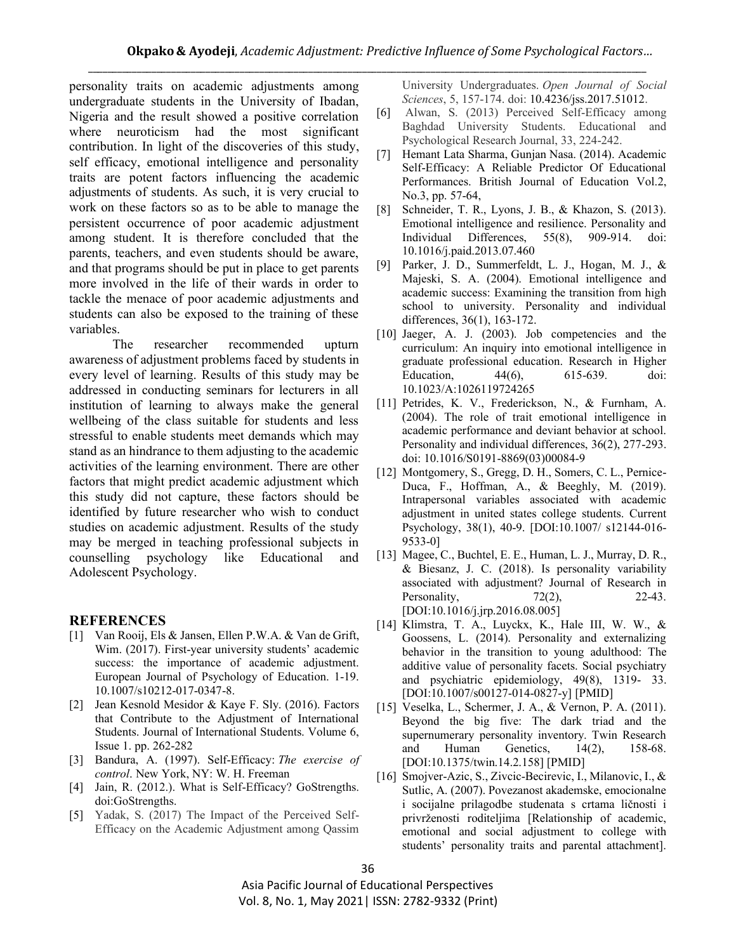personality traits on academic adjustments among undergraduate students in the University of Ibadan, Nigeria and the result showed a positive correlation where neuroticism had the most significant contribution. In light of the discoveries of this study, self efficacy, emotional intelligence and personality traits are potent factors influencing the academic adjustments of students. As such, it is very crucial to work on these factors so as to be able to manage the persistent occurrence of poor academic adjustment among student. It is therefore concluded that the parents, teachers, and even students should be aware, and that programs should be put in place to get parents more involved in the life of their wards in order to tackle the menace of poor academic adjustments and students can also be exposed to the training of these variables.

The researcher recommended upturn awareness of adjustment problems faced by students in every level of learning. Results of this study may be addressed in conducting seminars for lecturers in all institution of learning to always make the general wellbeing of the class suitable for students and less stressful to enable students meet demands which may stand as an hindrance to them adjusting to the academic activities of the learning environment. There are other factors that might predict academic adjustment which this study did not capture, these factors should be identified by future researcher who wish to conduct studies on academic adjustment. Results of the study may be merged in teaching professional subjects in counselling psychology like Educational and Adolescent Psychology.

## **REFERENCES**

- [1] Van Rooij, Els & Jansen, Ellen P.W.A. & Van de Grift, Wim. (2017). First-year university students' academic success: the importance of academic adjustment. European Journal of Psychology of Education. 1-19. 10.1007/s10212-017-0347-8.
- [2] Jean Kesnold Mesidor & Kaye F. Sly. (2016). Factors that Contribute to the Adjustment of International Students. Journal of International Students. Volume 6, Issue 1. pp. 262-282
- [3] Bandura, A. (1997). Self-Efficacy: *The exercise of control*. New York, NY: W. H. Freeman
- [4] Jain, R. (2012.). What is Self-Efficacy? GoStrengths. doi:GoStrengths.
- [5] Yadak, S. (2017) The Impact of the Perceived Self-Efficacy on the Academic Adjustment among Qassim

University Undergraduates. *Open Journal of Social Sciences*, 5, 157-174. doi: 10.4236/jss.2017.51012.

- [6] Alwan, S. (2013) Perceived Self-Efficacy among Baghdad University Students. Educational and Psychological Research Journal, 33, 224-242.
- [7] Hemant Lata Sharma, Gunjan Nasa. (2014). Academic Self-Efficacy: A Reliable Predictor Of Educational Performances. British Journal of Education Vol.2, No.3, pp. 57-64,
- [8] Schneider, T. R., Lyons, J. B., & Khazon, S. (2013). Emotional intelligence and resilience. Personality and Individual Differences, 55(8), 909-914. doi: 10.1016/j.paid.2013.07.460
- [9] Parker, J. D., Summerfeldt, L. J., Hogan, M. J., & Majeski, S. A. (2004). Emotional intelligence and academic success: Examining the transition from high school to university. Personality and individual differences, 36(1), 163-172.
- [10] Jaeger, A. J. (2003). Job competencies and the curriculum: An inquiry into emotional intelligence in graduate professional education. Research in Higher Education, 44(6), 615-639. doi: 10.1023/A:1026119724265
- [11] Petrides, K. V., Frederickson, N., & Furnham, A. (2004). The role of trait emotional intelligence in academic performance and deviant behavior at school. Personality and individual differences, 36(2), 277-293. doi: 10.1016/S0191-8869(03)00084-9
- [12] Montgomery, S., Gregg, D. H., Somers, C. L., Pernice-Duca, F., Hoffman, A., & Beeghly, M. (2019). Intrapersonal variables associated with academic adjustment in united states college students. Current Psychology, 38(1), 40-9. [DOI:10.1007/ s12144-016- 9533-0]
- [13] Magee, C., Buchtel, E. E., Human, L. J., Murray, D. R., & Biesanz, J. C. (2018). Is personality variability associated with adjustment? Journal of Research in Personality, 22-43. [DOI:10.1016/j.jrp.2016.08.005]
- [14] Klimstra, T. A., Luyckx, K., Hale III, W. W., & Goossens, L. (2014). Personality and externalizing behavior in the transition to young adulthood: The additive value of personality facets. Social psychiatry and psychiatric epidemiology, 49(8), 1319- 33. [DOI:10.1007/s00127-014-0827-y] [PMID]
- [15] Veselka, L., Schermer, J. A., & Vernon, P. A. (2011). Beyond the big five: The dark triad and the supernumerary personality inventory. Twin Research and Human Genetics, 14(2), 158-68. [DOI:10.1375/twin.14.2.158] [PMID]
- [16] Smojver-Azic, S., Zivcic-Becirevic, I., Milanovic, I., & Sutlic, A. (2007). Povezanost akademske, emocionalne i socijalne prilagodbe studenata s crtama ličnosti i privrženosti roditeljima [Relationship of academic, emotional and social adjustment to college with students' personality traits and parental attachment].